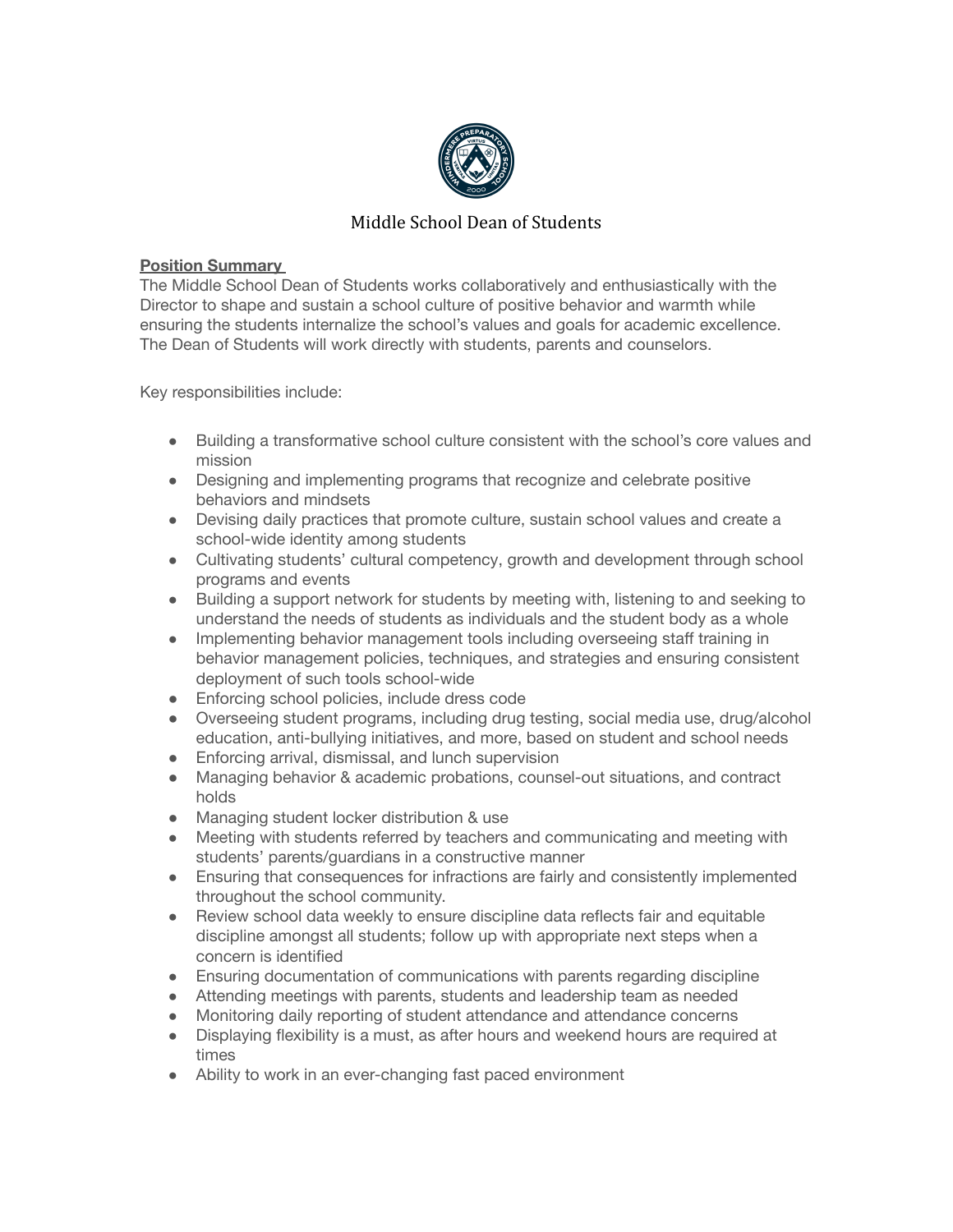

## Middle School Dean of Students

## **Position Summary**

The Middle School Dean of Students works collaboratively and enthusiastically with the Director to shape and sustain a school culture of positive behavior and warmth while ensuring the students internalize the school's values and goals for academic excellence. The Dean of Students will work directly with students, parents and counselors.

Key responsibilities include:

- Building a transformative school culture consistent with the school's core values and mission
- Designing and implementing programs that recognize and celebrate positive behaviors and mindsets
- Devising daily practices that promote culture, sustain school values and create a school-wide identity among students
- Cultivating students' cultural competency, growth and development through school programs and events
- Building a support network for students by meeting with, listening to and seeking to understand the needs of students as individuals and the student body as a whole
- Implementing behavior management tools including overseeing staff training in behavior management policies, techniques, and strategies and ensuring consistent deployment of such tools school-wide
- Enforcing school policies, include dress code
- Overseeing student programs, including drug testing, social media use, drug/alcohol education, anti-bullying initiatives, and more, based on student and school needs
- Enforcing arrival, dismissal, and lunch supervision
- Managing behavior & academic probations, counsel-out situations, and contract holds
- Managing student locker distribution & use
- Meeting with students referred by teachers and communicating and meeting with students' parents/guardians in a constructive manner
- Ensuring that consequences for infractions are fairly and consistently implemented throughout the school community.
- Review school data weekly to ensure discipline data reflects fair and equitable discipline amongst all students; follow up with appropriate next steps when a concern is identified
- Ensuring documentation of communications with parents regarding discipline
- Attending meetings with parents, students and leadership team as needed
- Monitoring daily reporting of student attendance and attendance concerns
- Displaying flexibility is a must, as after hours and weekend hours are required at times
- Ability to work in an ever-changing fast paced environment